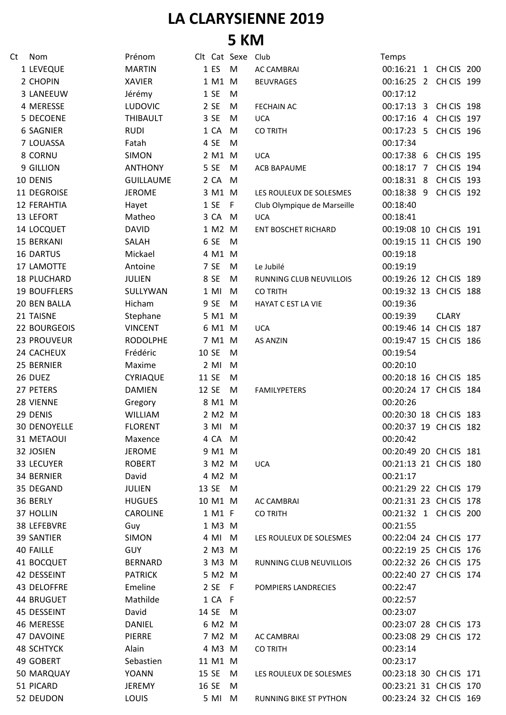## **LA CLARYSIENNE 2019 5 KM**

| Ct | Nom                 | Prénom           |       |         | Clt Cat Sexe Club |                             | Temps                  |              |  |
|----|---------------------|------------------|-------|---------|-------------------|-----------------------------|------------------------|--------------|--|
|    | 1 LEVEQUE           | <b>MARTIN</b>    |       | 1 ES    | M                 | <b>AC CAMBRAI</b>           | 00:16:21 1 CH CIS 200  |              |  |
|    | 2 CHOPIN            | <b>XAVIER</b>    |       | 1 M1 M  |                   | <b>BEUVRAGES</b>            | 00:16:25 2 CH CIS 199  |              |  |
|    | 3 LANEEUW           | Jérémy           |       | 1 SE    | M                 |                             | 00:17:12               |              |  |
|    | 4 MERESSE           | <b>LUDOVIC</b>   |       | 2 SE    | M                 | <b>FECHAIN AC</b>           | 00:17:13 3 CH CIS 198  |              |  |
|    | 5 DECOENE           | <b>THIBAULT</b>  |       | 3 SE    | M                 | <b>UCA</b>                  | 00:17:16 4 CH CIS 197  |              |  |
|    | <b>6 SAGNIER</b>    | <b>RUDI</b>      |       | 1 CA    | M                 | <b>CO TRITH</b>             | 00:17:23 5 CH CIS 196  |              |  |
|    | 7 LOUASSA           | Fatah            |       | 4 SE    | M                 |                             | 00:17:34               |              |  |
|    | 8 CORNU             | <b>SIMON</b>     |       | 2 M1    | M                 | <b>UCA</b>                  | 00:17:38 6 CH CIS 195  |              |  |
|    | 9 GILLION           | <b>ANTHONY</b>   |       | 5 SE    | M                 | ACB BAPAUME                 | 00:18:17 7 CH CIS 194  |              |  |
|    | 10 DENIS            | <b>GUILLAUME</b> |       | 2 CA    | M                 |                             | 00:18:31 8 CH CIS 193  |              |  |
|    | 11 DEGROISE         | <b>JEROME</b>    |       | 3 M1 M  |                   | LES ROULEUX DE SOLESMES     | 00:18:38 9 CH CIS 192  |              |  |
|    | <b>12 FERAHTIA</b>  | Hayet            |       | 1 SE    | - F               | Club Olympique de Marseille | 00:18:40               |              |  |
|    | 13 LEFORT           | Matheo           |       | 3 CA M  |                   | <b>UCA</b>                  | 00:18:41               |              |  |
|    | 14 LOCQUET          | <b>DAVID</b>     |       | 1 M2    | M                 | ENT BOSCHET RICHARD         | 00:19:08 10 CH CIS 191 |              |  |
|    | <b>15 BERKANI</b>   | SALAH            |       | 6 SE    | M                 |                             | 00:19:15 11 CH CIS 190 |              |  |
|    | <b>16 DARTUS</b>    | Mickael          |       | 4 M1 M  |                   |                             | 00:19:18               |              |  |
|    | 17 LAMOTTE          | Antoine          |       | 7 SE    | M                 | Le Jubilé                   | 00:19:19               |              |  |
|    | 18 PLUCHARD         | <b>JULIEN</b>    |       | 8 SE    | M                 | RUNNING CLUB NEUVILLOIS     | 00:19:26 12 CH CIS 189 |              |  |
|    | <b>19 BOUFFLERS</b> | SULLYWAN         |       | $1$ MI  | M                 | <b>CO TRITH</b>             | 00:19:32 13 CH CIS 188 |              |  |
|    | 20 BEN BALLA        | Hicham           |       | 9 SE    | M                 | <b>HAYAT C EST LA VIE</b>   | 00:19:36               |              |  |
|    | 21 TAISNE           | Stephane         |       | 5 M1 M  |                   |                             | 00:19:39               | <b>CLARY</b> |  |
|    | 22 BOURGEOIS        | <b>VINCENT</b>   |       | 6 M1 M  |                   | <b>UCA</b>                  | 00:19:46 14 CH CIS 187 |              |  |
|    | 23 PROUVEUR         | <b>RODOLPHE</b>  |       | 7 M1 M  |                   | <b>AS ANZIN</b>             | 00:19:47 15 CH CIS 186 |              |  |
|    | 24 CACHEUX          | Frédéric         |       | 10 SE   | M                 |                             | 00:19:54               |              |  |
|    | 25 BERNIER          | Maxime           |       | $2$ MI  | M                 |                             | 00:20:10               |              |  |
|    | 26 DUEZ             | <b>CYRIAQUE</b>  | 11 SE |         | M                 |                             | 00:20:18 16 CH CIS 185 |              |  |
|    | 27 PETERS           | <b>DAMIEN</b>    | 12 SE |         | M                 | <b>FAMILYPETERS</b>         | 00:20:24 17 CH CIS 184 |              |  |
|    | 28 VIENNE           | Gregory          |       | 8 M1 M  |                   |                             | 00:20:26               |              |  |
|    | 29 DENIS            | <b>WILLIAM</b>   |       | 2 M2 M  |                   |                             | 00:20:30 18 CH CIS 183 |              |  |
|    | <b>30 DENOYELLE</b> | <b>FLORENT</b>   |       | 3 MI M  |                   |                             | 00:20:37 19 CH CIS 182 |              |  |
|    | 31 METAOUI          | Maxence          |       | 4 CA M  |                   |                             | 00:20:42               |              |  |
|    | 32 JOSIEN           | <b>JEROME</b>    |       | 9 M1 M  |                   |                             | 00:20:49 20 CH CIS 181 |              |  |
|    | 33 LECUYER          | <b>ROBERT</b>    |       | 3 M2 M  |                   | <b>UCA</b>                  | 00:21:13 21 CH CIS 180 |              |  |
|    | 34 BERNIER          | David            |       | 4 M2 M  |                   |                             | 00:21:17               |              |  |
|    | 35 DEGAND           | JULIEN           |       | 13 SE M |                   |                             | 00:21:29 22 CH CIS 179 |              |  |
|    | 36 BERLY            | <b>HUGUES</b>    |       | 10 M1 M |                   | AC CAMBRAI                  | 00:21:31 23 CH CIS 178 |              |  |
|    | 37 HOLLIN           | <b>CAROLINE</b>  |       | 1 M1 F  |                   | <b>CO TRITH</b>             | 00:21:32 1 CH CIS 200  |              |  |
|    | 38 LEFEBVRE         | Guy              |       | 1 M3 M  |                   |                             | 00:21:55               |              |  |
|    | <b>39 SANTIER</b>   | <b>SIMON</b>     |       | 4 MI M  |                   | LES ROULEUX DE SOLESMES     | 00:22:04 24 CH CIS 177 |              |  |
|    | <b>40 FAILLE</b>    | <b>GUY</b>       |       | 2 M3 M  |                   |                             | 00:22:19 25 CH CIS 176 |              |  |
|    | 41 BOCQUET          | BERNARD          |       | 3 M3 M  |                   | RUNNING CLUB NEUVILLOIS     | 00:22:32 26 CH CIS 175 |              |  |
|    | 42 DESSEINT         | <b>PATRICK</b>   |       | 5 M2 M  |                   |                             | 00:22:40 27 CH CIS 174 |              |  |
|    | 43 DELOFFRE         | Emeline          |       | 2 SE F  |                   | POMPIERS LANDRECIES         | 00:22:47               |              |  |
|    | 44 BRUGUET          | Mathilde         |       | 1 CA F  |                   |                             | 00:22:57               |              |  |
|    | 45 DESSEINT         | David            |       | 14 SE M |                   |                             | 00:23:07               |              |  |
|    | 46 MERESSE          | <b>DANIEL</b>    |       | 6 M2 M  |                   |                             | 00:23:07 28 CH CIS 173 |              |  |
|    | 47 DAVOINE          | PIERRE           |       | 7 M2 M  |                   | <b>AC CAMBRAI</b>           | 00:23:08 29 CH CIS 172 |              |  |
|    | <b>48 SCHTYCK</b>   | Alain            |       | 4 M3 M  |                   | <b>CO TRITH</b>             | 00:23:14               |              |  |
|    | 49 GOBERT           | Sebastien        |       | 11 M1 M |                   |                             | 00:23:17               |              |  |
|    | 50 MARQUAY          | <b>YOANN</b>     |       | 15 SE M |                   | LES ROULEUX DE SOLESMES     | 00:23:18 30 CH CIS 171 |              |  |
|    | 51 PICARD           | <b>JEREMY</b>    |       | 16 SE   | - M               |                             | 00:23:21 31 CH CIS 170 |              |  |
|    | 52 DEUDON           | <b>LOUIS</b>     |       | 5 MI M  |                   | RUNNING BIKE ST PYTHON      | 00:23:24 32 CH CIS 169 |              |  |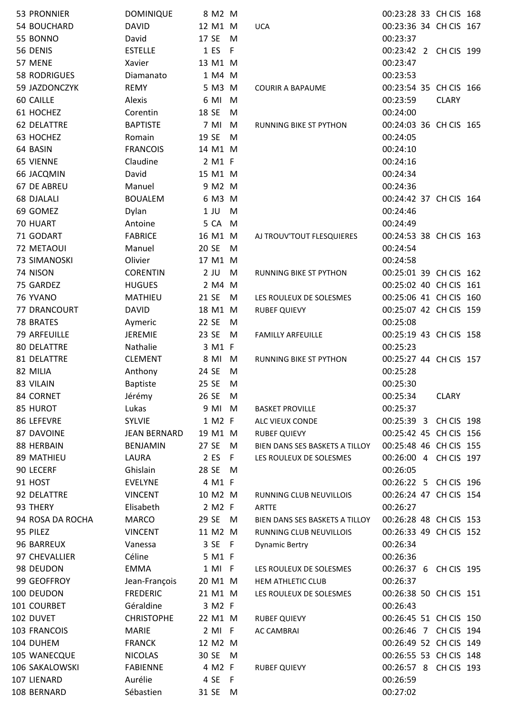| 53 PRONNIER               | <b>DOMINIQUE</b>                  | 8 M2 M              |     |                                | 00:23:28 33 CH CIS 168                          |              |  |
|---------------------------|-----------------------------------|---------------------|-----|--------------------------------|-------------------------------------------------|--------------|--|
| 54 BOUCHARD               | <b>DAVID</b>                      | 12 M1 M             |     | <b>UCA</b>                     | 00:23:36 34 CH CIS 167                          |              |  |
| 55 BONNO                  | David                             | 17 SE               | M   |                                | 00:23:37                                        |              |  |
| 56 DENIS                  | <b>ESTELLE</b>                    | 1 ES                | - F |                                | 00:23:42 2 CH CIS 199                           |              |  |
| 57 MENE                   | Xavier                            | 13 M1 M             |     |                                | 00:23:47                                        |              |  |
| <b>58 RODRIGUES</b>       | Diamanato                         | 1 M4 M              |     |                                | 00:23:53                                        |              |  |
| 59 JAZDONCZYK             | <b>REMY</b>                       | 5 M3 M              |     | <b>COURIR A BAPAUME</b>        | 00:23:54 35 CH CIS 166                          |              |  |
| 60 CAILLE                 | Alexis                            | 6 MI                | M   |                                | 00:23:59                                        | <b>CLARY</b> |  |
| 61 HOCHEZ                 | Corentin                          | 18 SE               | M   |                                | 00:24:00                                        |              |  |
| <b>62 DELATTRE</b>        | <b>BAPTISTE</b>                   | 7 MI M              |     | RUNNING BIKE ST PYTHON         | 00:24:03 36 CH CIS 165                          |              |  |
| 63 HOCHEZ                 | Romain                            | 19 SE               | M   |                                | 00:24:05                                        |              |  |
| 64 BASIN                  | <b>FRANCOIS</b>                   | 14 M1 M             |     |                                | 00:24:10                                        |              |  |
| <b>65 VIENNE</b>          | Claudine                          | 2 M1 F              |     |                                | 00:24:16                                        |              |  |
| 66 JACQMIN                | David                             | 15 M1 M             |     |                                | 00:24:34                                        |              |  |
| 67 DE ABREU               | Manuel                            | 9 M2 M              |     |                                | 00:24:36                                        |              |  |
| <b>68 DJALALI</b>         | <b>BOUALEM</b>                    | 6 M3 M              |     |                                | 00:24:42 37 CH CIS 164                          |              |  |
| 69 GOMEZ                  | Dylan                             | $1$ JU              | M   |                                | 00:24:46                                        |              |  |
| 70 HUART                  | Antoine                           | 5 CA                | M   |                                | 00:24:49                                        |              |  |
| 71 GODART                 | <b>FABRICE</b>                    | 16 M1 M             |     | AJ TROUV'TOUT FLESQUIERES      | 00:24:53 38 CH CIS 163                          |              |  |
| 72 METAOUI                | Manuel                            | 20 SE               | M   |                                | 00:24:54                                        |              |  |
| 73 SIMANOSKI              | Olivier                           | 17 M1 M             |     |                                | 00:24:58                                        |              |  |
| 74 NISON                  | <b>CORENTIN</b>                   | $2$ JU              | M   | RUNNING BIKE ST PYTHON         | 00:25:01 39 CH CIS 162                          |              |  |
| 75 GARDEZ                 | <b>HUGUES</b>                     | 2 M4 M              |     |                                | 00:25:02 40 CH CIS 161                          |              |  |
| 76 YVANO                  | <b>MATHIEU</b>                    | 21 SE               | M   | LES ROULEUX DE SOLESMES        | 00:25:06 41 CH CIS 160                          |              |  |
| 77 DRANCOURT              | <b>DAVID</b>                      | 18 M1 M             |     | <b>RUBEF QUIEVY</b>            | 00:25:07 42 CH CIS 159                          |              |  |
| 78 BRATES                 | Aymeric                           | 22 SE               | M   |                                | 00:25:08                                        |              |  |
| 79 ARFEUILLE              | <b>JEREMIE</b>                    | 23 SE               | M   | <b>FAMILLY ARFEUILLE</b>       | 00:25:19 43 CH CIS 158                          |              |  |
| <b>80 DELATTRE</b>        | Nathalie                          | 3 M1 F              |     |                                | 00:25:23                                        |              |  |
| 81 DELATTRE               | <b>CLEMENT</b>                    | 8 MI M              |     | RUNNING BIKE ST PYTHON         | 00:25:27 44 CH CIS 157                          |              |  |
| 82 MILIA                  | Anthony                           | 24 SE               | M   |                                | 00:25:28                                        |              |  |
| 83 VILAIN                 | <b>Baptiste</b>                   | 25 SE               | M   |                                | 00:25:30                                        |              |  |
| 84 CORNET                 | Jérémy                            | 26 SE               | M   |                                | 00:25:34                                        | <b>CLARY</b> |  |
| 85 HUROT                  | Lukas                             | 9 MI M              |     | <b>BASKET PROVILLE</b>         | 00:25:37                                        |              |  |
| 86 LEFEVRE                | <b>SYLVIE</b>                     | 1 M2 F              |     | ALC VIEUX CONDE                | 00:25:39 3 CH CIS 198                           |              |  |
| 87 DAVOINE                | <b>JEAN BERNARD</b>               | 19 M1 M             |     | <b>RUBEF QUIEVY</b>            | 00:25:42 45 CH CIS 156                          |              |  |
| 88 HERBAIN                | <b>BENJAMIN</b>                   | 27 SE               | M   | BIEN DANS SES BASKETS A TILLOY | 00:25:48 46 CH CIS 155                          |              |  |
| 89 MATHIEU                | LAURA                             | 2 ES                | - F | LES ROULEUX DE SOLESMES        | 00:26:00 4 CH CIS 197                           |              |  |
| 90 LECERF                 | Ghislain                          | 28 SE               | M   |                                | 00:26:05                                        |              |  |
| 91 HOST                   | <b>EVELYNE</b>                    | 4 M1 F              |     |                                | 00:26:22 5 CH CIS 196                           |              |  |
| 92 DELATTRE               | <b>VINCENT</b>                    | 10 M2 M             |     | RUNNING CLUB NEUVILLOIS        | 00:26:24 47 CH CIS 154                          |              |  |
| 93 THERY                  | Elisabeth                         | 2 M2 F              |     | <b>ARTTE</b>                   | 00:26:27                                        |              |  |
| 94 ROSA DA ROCHA          | <b>MARCO</b>                      | 29 SE M             |     | BIEN DANS SES BASKETS A TILLOY | 00:26:28 48 CH CIS 153                          |              |  |
| 95 PILEZ                  | <b>VINCENT</b>                    | 11 M2 M             |     | RUNNING CLUB NEUVILLOIS        | 00:26:33 49 CH CIS 152                          |              |  |
| 96 BARREUX                | Vanessa                           | 3 SE F              |     | <b>Dynamic Bertry</b>          | 00:26:34                                        |              |  |
| 97 CHEVALLIER             | Céline                            | 5 M1 F              |     |                                | 00:26:36                                        |              |  |
| 98 DEUDON                 | <b>EMMA</b>                       | 1 MI F              |     | LES ROULEUX DE SOLESMES        | 00:26:37 6 CH CIS 195                           |              |  |
| 99 GEOFFROY<br>100 DEUDON | Jean-François<br><b>FREDERIC</b>  | 20 M1 M             |     | HEM ATHLETIC CLUB              | 00:26:37                                        |              |  |
| 101 COURBET               | Géraldine                         | 21 M1 M<br>3 M2 F   |     | LES ROULEUX DE SOLESMES        | 00:26:38 50 CH CIS 151<br>00:26:43              |              |  |
|                           |                                   |                     |     |                                |                                                 |              |  |
| 102 DUVET<br>103 FRANCOIS | <b>CHRISTOPHE</b><br><b>MARIE</b> | 22 M1 M             |     | <b>RUBEF QUIEVY</b>            | 00:26:45 51 CH CIS 150<br>00:26:46 7 CH CIS 194 |              |  |
| 104 DUHEM                 | <b>FRANCK</b>                     | $2$ MI F<br>12 M2 M |     | <b>AC CAMBRAI</b>              | 00:26:49 52 CH CIS 149                          |              |  |
| 105 WANECQUE              | <b>NICOLAS</b>                    | 30 SE               | M   |                                | 00:26:55 53 CH CIS 148                          |              |  |
| 106 SAKALOWSKI            | <b>FABIENNE</b>                   | 4 M2 F              |     | <b>RUBEF QUIEVY</b>            | 00:26:57 8 CH CIS 193                           |              |  |
| 107 LIENARD               | Aurélie                           | 4 SE F              |     |                                | 00:26:59                                        |              |  |
| 108 BERNARD               | Sébastien                         | 31 SE M             |     |                                | 00:27:02                                        |              |  |
|                           |                                   |                     |     |                                |                                                 |              |  |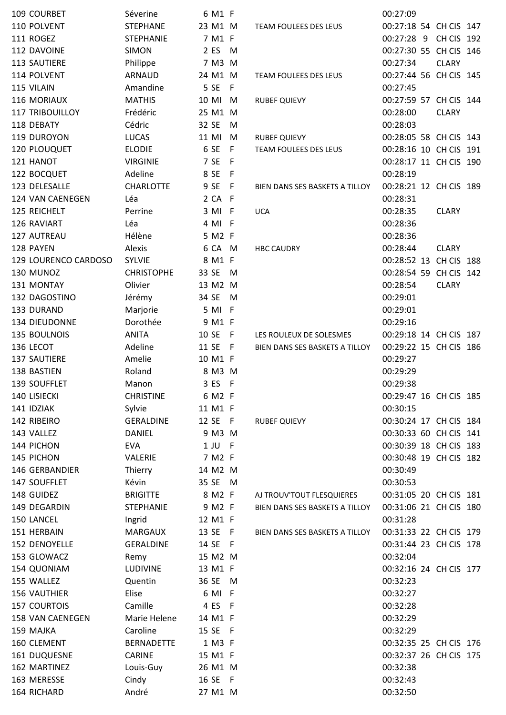| 109 COURBET            | Séverine          | 6 M1 F  |      |                                | 00:27:09               |              |
|------------------------|-------------------|---------|------|--------------------------------|------------------------|--------------|
| 110 POLVENT            | <b>STEPHANE</b>   | 23 M1 M |      | <b>TEAM FOULEES DES LEUS</b>   | 00:27:18 54 CH CIS 147 |              |
| 111 ROGEZ              | <b>STEPHANIE</b>  | 7 M1 F  |      |                                | 00:27:28 9 CH CIS 192  |              |
| 112 DAVOINE            | <b>SIMON</b>      | 2 ES    | M    |                                | 00:27:30 55 CH CIS 146 |              |
| 113 SAUTIERE           | Philippe          | 7 M3 M  |      |                                | 00:27:34               | <b>CLARY</b> |
| 114 POLVENT            | <b>ARNAUD</b>     | 24 M1 M |      | TEAM FOULEES DES LEUS          | 00:27:44 56 CH CIS 145 |              |
| 115 VILAIN             | Amandine          | 5 SE    | F    |                                | 00:27:45               |              |
| 116 MORIAUX            | <b>MATHIS</b>     | 10 MI   | M    | <b>RUBEF QUIEVY</b>            | 00:27:59 57 CH CIS 144 |              |
| <b>117 TRIBOUILLOY</b> | Frédéric          | 25 M1 M |      |                                | 00:28:00               | <b>CLARY</b> |
| 118 DEBATY             | Cédric            | 32 SE   | M    |                                | 00:28:03               |              |
| 119 DUROYON            | <b>LUCAS</b>      | 11 MI   | M    | <b>RUBEF QUIEVY</b>            | 00:28:05 58 CH CIS 143 |              |
| 120 PLOUQUET           | <b>ELODIE</b>     | 6 SE    | - F  | TEAM FOULEES DES LEUS          | 00:28:16 10 CH CIS 191 |              |
| 121 HANOT              | <b>VIRGINIE</b>   | 7 SE    | - F  |                                | 00:28:17 11 CH CIS 190 |              |
| 122 BOCQUET            | Adeline           | 8 SE    | $-F$ |                                | 00:28:19               |              |
| 123 DELESALLE          | <b>CHARLOTTE</b>  | 9 SE F  |      | BIEN DANS SES BASKETS A TILLOY | 00:28:21 12 CH CIS 189 |              |
| 124 VAN CAENEGEN       | Léa               | 2 CA F  |      |                                | 00:28:31               |              |
| 125 REICHELT           | Perrine           | 3 MI F  |      | <b>UCA</b>                     | 00:28:35               | <b>CLARY</b> |
| 126 RAVIART            | Léa               | 4 MI F  |      |                                | 00:28:36               |              |
| 127 AUTREAU            | Hélène            | 5 M2 F  |      |                                | 00:28:36               |              |
| 128 PAYEN              | Alexis            | 6 CA M  |      | <b>HBC CAUDRY</b>              | 00:28:44               | <b>CLARY</b> |
| 129 LOURENCO CARDOSO   | <b>SYLVIE</b>     | 8 M1 F  |      |                                | 00:28:52 13 CH CIS 188 |              |
| 130 MUNOZ              | <b>CHRISTOPHE</b> | 33 SE   | M    |                                | 00:28:54 59 CH CIS 142 |              |
| 131 MONTAY             | Olivier           | 13 M2 M |      |                                | 00:28:54               | <b>CLARY</b> |
| 132 DAGOSTINO          | Jérémy            | 34 SE   | M    |                                | 00:29:01               |              |
| 133 DURAND             | Marjorie          | 5 MI F  |      |                                | 00:29:01               |              |
| 134 DIEUDONNE          | Dorothée          | 9 M1 F  |      |                                | 00:29:16               |              |
| 135 BOULNOIS           | <b>ANITA</b>      | 10 SE   | - F  | LES ROULEUX DE SOLESMES        | 00:29:18 14 CH CIS 187 |              |
| 136 LECOT              | Adeline           | 11 SE F |      | BIEN DANS SES BASKETS A TILLOY | 00:29:22 15 CH CIS 186 |              |
| 137 SAUTIERE           | Amelie            | 10 M1 F |      |                                | 00:29:27               |              |
| 138 BASTIEN            | Roland            | 8 M3 M  |      |                                | 00:29:29               |              |
| 139 SOUFFLET           | Manon             | 3 ES    | F    |                                | 00:29:38               |              |
| 140 LISIECKI           | <b>CHRISTINE</b>  | 6 M2 F  |      |                                | 00:29:47 16 CH CIS 185 |              |
| 141 IDZIAK             | Sylvie            | 11 M1 F |      |                                | 00:30:15               |              |
| 142 RIBEIRO            | <b>GERALDINE</b>  | 12 SE F |      | <b>RUBEF QUIEVY</b>            | 00:30:24 17 CH CIS 184 |              |
| 143 VALLEZ             | <b>DANIEL</b>     | 9 M3 M  |      |                                | 00:30:33 60 CH CIS 141 |              |
| 144 PICHON             | <b>EVA</b>        | 1 JU F  |      |                                | 00:30:39 18 CH CIS 183 |              |
| 145 PICHON             | VALERIE           | 7 M2 F  |      |                                | 00:30:48 19 CH CIS 182 |              |
| 146 GERBANDIER         | Thierry           | 14 M2 M |      |                                | 00:30:49               |              |
| 147 SOUFFLET           | Kévin             | 35 SE M |      |                                | 00:30:53               |              |
| 148 GUIDEZ             | <b>BRIGITTE</b>   | 8 M2 F  |      | AJ TROUV'TOUT FLESQUIERES      | 00:31:05 20 CH CIS 181 |              |
| 149 DEGARDIN           | <b>STEPHANIE</b>  | 9 M2 F  |      | BIEN DANS SES BASKETS A TILLOY | 00:31:06 21 CH CIS 180 |              |
| 150 LANCEL             | Ingrid            | 12 M1 F |      |                                | 00:31:28               |              |
| 151 HERBAIN            | MARGAUX           | 13 SE F |      | BIEN DANS SES BASKETS A TILLOY | 00:31:33 22 CH CIS 179 |              |
| 152 DENOYELLE          | <b>GERALDINE</b>  | 14 SE F |      |                                | 00:31:44 23 CH CIS 178 |              |
| 153 GLOWACZ            | Remy              | 15 M2 M |      |                                | 00:32:04               |              |
| 154 QUONIAM            | <b>LUDIVINE</b>   | 13 M1 F |      |                                | 00:32:16 24 CH CIS 177 |              |
|                        |                   |         |      |                                |                        |              |
| 155 WALLEZ             | Quentin<br>Elise  | 36 SE   | M    |                                | 00:32:23               |              |
| 156 VAUTHIER           |                   | 6 MI F  |      |                                | 00:32:27               |              |
| <b>157 COURTOIS</b>    | Camille           | 4 ES F  |      |                                | 00:32:28               |              |
| 158 VAN CAENEGEN       | Marie Helene      | 14 M1 F |      |                                | 00:32:29               |              |
| 159 MAJKA              | Caroline          | 15 SE F |      |                                | 00:32:29               |              |
| 160 CLEMENT            | <b>BERNADETTE</b> | 1 M3 F  |      |                                | 00:32:35 25 CH CIS 176 |              |
| 161 DUQUESNE           | <b>CARINE</b>     | 15 M1 F |      |                                | 00:32:37 26 CH CIS 175 |              |
| 162 MARTINEZ           | Louis-Guy         | 26 M1 M |      |                                | 00:32:38               |              |
| 163 MERESSE            | Cindy             | 16 SE F |      |                                | 00:32:43               |              |
| 164 RICHARD            | André             | 27 M1 M |      |                                | 00:32:50               |              |